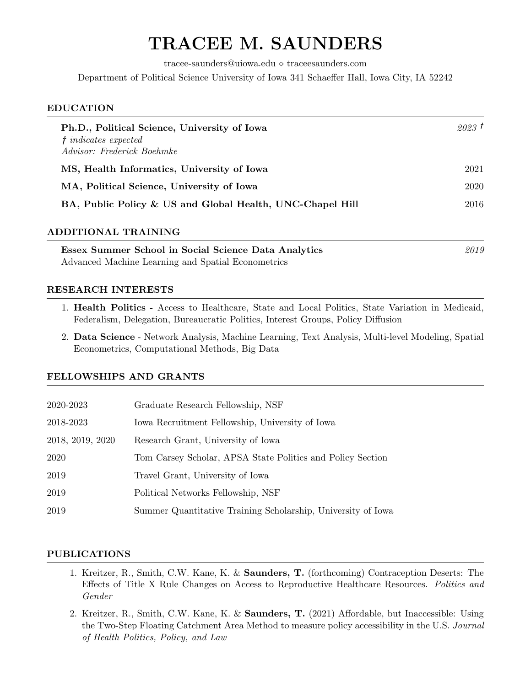# TRACEE M. SAUNDERS

 $trace\text{-}saunders@uiowa.edu \diamond traceesaunders.com$ 

Department of Political Science University of Iowa 341 Schaeffer Hall, Iowa City, IA 52242

## EDUCATION

| Ph.D., Political Science, University of Iowa<br>$t indicates expected$<br>Advisor: Frederick Boehmke | 2023T |
|------------------------------------------------------------------------------------------------------|-------|
| MS, Health Informatics, University of Iowa                                                           | 2021  |
| MA, Political Science, University of Iowa                                                            | 2020  |
| BA, Public Policy & US and Global Health, UNC-Chapel Hill                                            | 2016  |

# ADDITIONAL TRAINING

Essex Summer School in Social Science Data Analytics 2019 Advanced Machine Learning and Spatial Econometrics

# RESEARCH INTERESTS

- 1. Health Politics Access to Healthcare, State and Local Politics, State Variation in Medicaid, Federalism, Delegation, Bureaucratic Politics, Interest Groups, Policy Diffusion
- 2. Data Science Network Analysis, Machine Learning, Text Analysis, Multi-level Modeling, Spatial Econometrics, Computational Methods, Big Data

# FELLOWSHIPS AND GRANTS

| 2020-2023        | Graduate Research Fellowship, NSF                            |
|------------------|--------------------------------------------------------------|
| 2018-2023        | Iowa Recruitment Fellowship, University of Iowa              |
| 2018, 2019, 2020 | Research Grant, University of Iowa                           |
| 2020             | Tom Carsey Scholar, APSA State Politics and Policy Section   |
| 2019             | Travel Grant, University of Iowa                             |
| 2019             | Political Networks Fellowship, NSF                           |
| 2019             | Summer Quantitative Training Scholarship, University of Iowa |

# PUBLICATIONS

- 1. Kreitzer, R., Smith, C.W. Kane, K. & Saunders, T. (forthcoming) Contraception Deserts: The Effects of Title X Rule Changes on Access to Reproductive Healthcare Resources. Politics and Gender
- 2. Kreitzer, R., Smith, C.W. Kane, K. & Saunders, T. (2021) Affordable, but Inaccessible: Using the Two-Step Floating Catchment Area Method to measure policy accessibility in the U.S. Journal of Health Politics, Policy, and Law